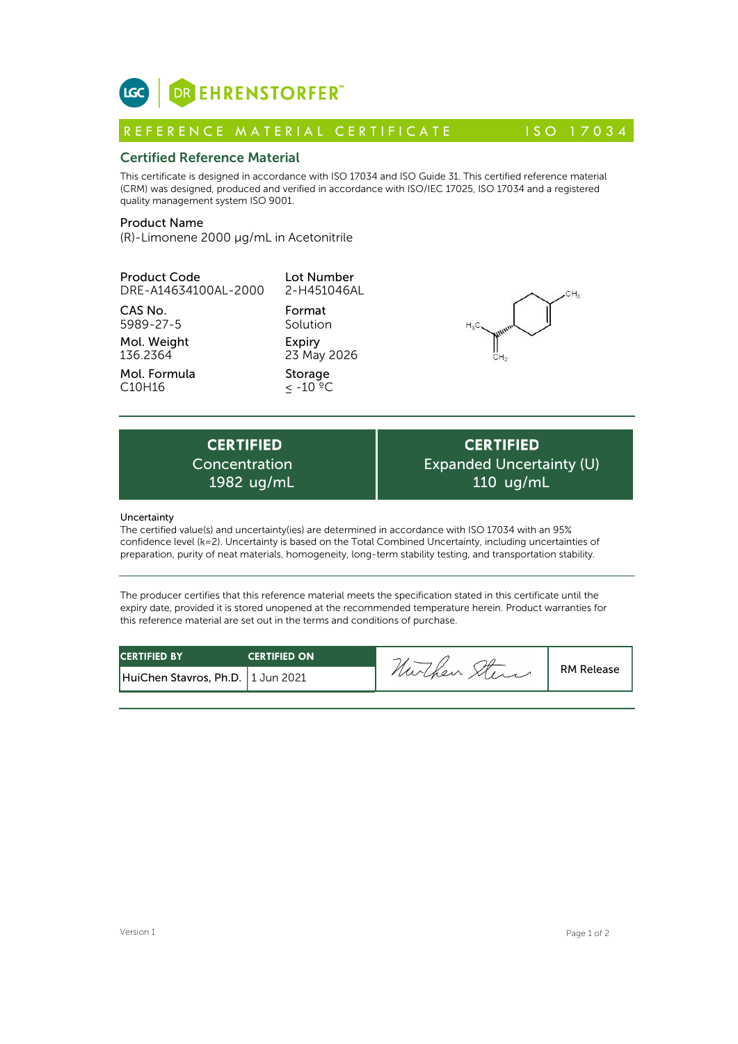

# Certified Reference Material

This certificate is designed in accordance with ISO 17034 and ISO Guide 31. This certified reference material (CRM) was designed, produced and verified in accordance with ISO/IEC 17025, ISO 17034 and a registered quality management system ISO 9001. **ICC**<br> **REFERENCE MATERIAL CERTIFICATE**<br> **REFERENCE MATERIAL CERTIFICATE** ISO 17034<br> **Certified Reference Material**<br>
CFIM) was designed, produced and verified in accordance with ISO 17034 and ISO Guide 31. This certified r

# Product Name

(R)-Limonene 2000 µg/mL in Acetonitrile

| <b>Product Code</b><br>DRE-A14634100AL-2000     | Lot Number<br>2-H451046AL                   | CН,                                                                                                 |
|-------------------------------------------------|---------------------------------------------|-----------------------------------------------------------------------------------------------------|
| CAS No.<br>5989-27-5<br>Mol. Weight<br>136.2364 | Format<br>Solution<br>Expiry<br>23 May 2026 | $H_3C$                                                                                              |
| Mol. Formula<br>C <sub>10</sub> H <sub>16</sub> | Storage<br>$< -10 °C$                       |                                                                                                     |
|                                                 |                                             |                                                                                                     |
| <b>CERTIFIED</b><br>Concentration<br>1982 ug/mL |                                             | <b>CERTIFIED</b><br><b>Expanded Uncertainty (l</b><br>$110$ ug/mL                                   |
| Uncertainty                                     |                                             | The certified value(s) and uncertainty(ies) are determined in accordance with ISO 17034 with an 05% |

**CERTIFIED** Expanded Uncertainty (U) 110 ug/mL

# **Uncertainty**

The certified value(s) and uncertainty(ies) are determined in accordance with ISO 17034 with an 95% confidence level (k=2). Uncertainty is based on the Total Combined Uncertainty, including uncertainties of preparation, purity of neat materials, homogeneity, long-term stability testing, and transportation stability.

The producer certifies that this reference material meets the specification stated in this certificate until the expiry date, provided it is stored unopened at the recommended temperature herein. Product warranties for this reference material are set out in the terms and conditions of purchase.

| <b>CERTIFIED BY</b>                 | <b>CERTIFIED ON</b> |         |                   |
|-------------------------------------|---------------------|---------|-------------------|
| HuiChen Stavros, Ph.D.   1 Jun 2021 |                     | nurchen | <b>RM Release</b> |